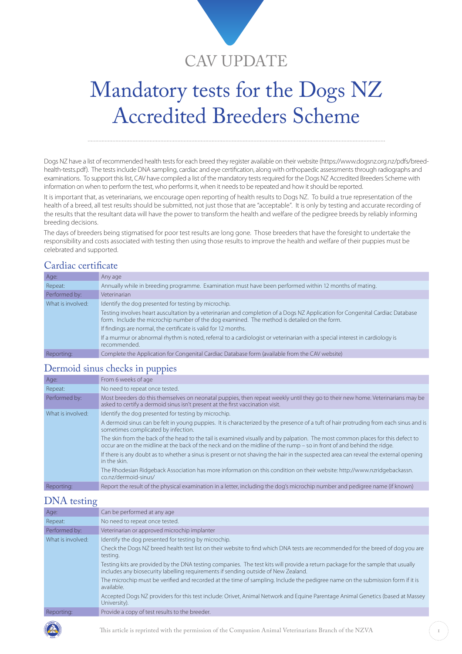

# Mandatory tests for the Dogs NZ Accredited Breeders Scheme

Dogs NZ have a list of recommended health tests for each breed they register available on their website (https://www.dogsnz.org.nz/pdfs/breedhealth-tests.pdf). The tests include DNA sampling, cardiac and eye certification, along with orthopaedic assessments through radiographs and examinations. To support this list, CAV have compiled a list of the mandatory tests required for the Dogs NZ Accredited Breeders Scheme with information on when to perform the test, who performs it, when it needs to be repeated and how it should be reported.

It is important that, as veterinarians, we encourage open reporting of health results to Dogs NZ. To build a true representation of the health of a breed, all test results should be submitted, not just those that are "acceptable". It is only by testing and accurate recording of the results that the resultant data will have the power to transform the health and welfare of the pedigree breeds by reliably informing breeding decisions.

The days of breeders being stigmatised for poor test results are long gone. Those breeders that have the foresight to undertake the responsibility and costs associated with testing then using those results to improve the health and welfare of their puppies must be celebrated and supported.

#### Cardiac certificate

| Age:              | Any age                                                                                                                                                                                                                      |
|-------------------|------------------------------------------------------------------------------------------------------------------------------------------------------------------------------------------------------------------------------|
| Repeat:           | Annually while in breeding programme. Examination must have been performed within 12 months of mating.                                                                                                                       |
| Performed by:     | Veterinarian                                                                                                                                                                                                                 |
| What is involved: | Identify the dog presented for testing by microchip.                                                                                                                                                                         |
|                   | Testing involves heart auscultation by a veterinarian and completion of a Dogs NZ Application for Congenital Cardiac Database<br>form. Include the microchip number of the dog examined. The method is detailed on the form. |
|                   | If findings are normal, the certificate is valid for 12 months.                                                                                                                                                              |
|                   | If a murmur or abnormal rhythm is noted, referral to a cardiologist or veterinarian with a special interest in cardiology is<br>recommended.                                                                                 |
| Reporting:        | Complete the Application for Congenital Cardiac Database form (available from the CAV website)                                                                                                                               |

#### Dermoid sinus checks in puppies

| Age:              | From 6 weeks of age                                                                                                                                                                                                                                       |
|-------------------|-----------------------------------------------------------------------------------------------------------------------------------------------------------------------------------------------------------------------------------------------------------|
| Repeat:           | No need to repeat once tested.                                                                                                                                                                                                                            |
| Performed by:     | Most breeders do this themselves on neonatal puppies, then repeat weekly until they go to their new home. Veterinarians may be<br>asked to certify a dermoid sinus isn't present at the first vaccination visit.                                          |
| What is involved: | Identify the dog presented for testing by microchip.                                                                                                                                                                                                      |
|                   | A dermoid sinus can be felt in young puppies. It is characterized by the presence of a tuft of hair protruding from each sinus and is<br>sometimes complicated by infection.                                                                              |
|                   | The skin from the back of the head to the tail is examined visually and by palpation. The most common places for this defect to<br>occur are on the midline at the back of the neck and on the midline of the rump – so in front of and behind the ridge. |
|                   | If there is any doubt as to whether a sinus is present or not shaving the hair in the suspected area can reveal the external opening<br>in the skin.                                                                                                      |
|                   | The Rhodesian Ridgeback Association has more information on this condition on their website: http://www.nzridgebackassn.<br>co.nz/dermoid-sinus/                                                                                                          |
| Reporting:        | Report the result of the physical examination in a letter, including the dog's microchip number and pedigree name (if known)                                                                                                                              |

#### DNA testing

| Age:              | Can be performed at any age                                                                                                                                                                                           |
|-------------------|-----------------------------------------------------------------------------------------------------------------------------------------------------------------------------------------------------------------------|
| Repeat:           | No need to repeat once tested.                                                                                                                                                                                        |
| Performed by:     | Veterinarian or approved microchip implanter                                                                                                                                                                          |
| What is involved: | Identify the dog presented for testing by microchip.                                                                                                                                                                  |
|                   | Check the Dogs NZ breed health test list on their website to find which DNA tests are recommended for the breed of dog you are<br>testing.                                                                            |
|                   | Testing kits are provided by the DNA testing companies. The test kits will provide a return package for the sample that usually<br>includes any biosecurity labelling requirements if sending outside of New Zealand. |
|                   | The microchip must be verified and recorded at the time of sampling. Include the pedigree name on the submission form if it is<br>available.                                                                          |
|                   | Accepted Dogs NZ providers for this test include: Orivet, Animal Network and Equine Parentage Animal Genetics (based at Massey<br>University).                                                                        |
| Reporting:        | Provide a copy of test results to the breeder.                                                                                                                                                                        |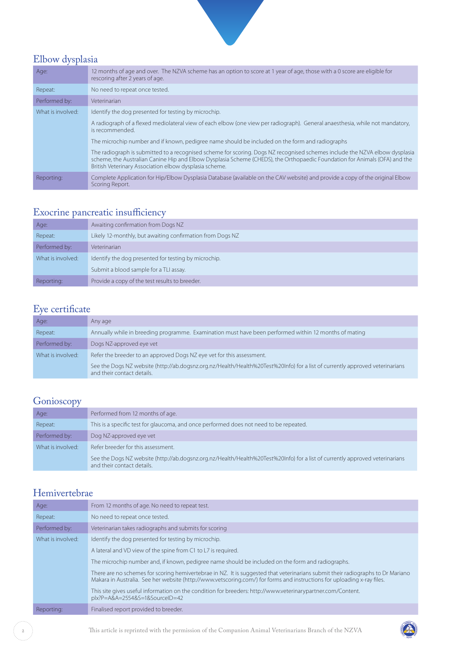

# Elbow dysplasia

| Age:              | 12 months of age and over. The NZVA scheme has an option to score at 1 year of age, those with a 0 score are eligible for<br>rescoring after 2 years of age.                                                                                                                                                        |
|-------------------|---------------------------------------------------------------------------------------------------------------------------------------------------------------------------------------------------------------------------------------------------------------------------------------------------------------------|
| Repeat:           | No need to repeat once tested.                                                                                                                                                                                                                                                                                      |
| Performed by:     | Veterinarian                                                                                                                                                                                                                                                                                                        |
| What is involved: | Identify the dog presented for testing by microchip.                                                                                                                                                                                                                                                                |
|                   | A radiograph of a flexed mediolateral view of each elbow (one view per radiograph). General anaesthesia, while not mandatory,<br>is recommended.                                                                                                                                                                    |
|                   | The microchip number and if known, pedigree name should be included on the form and radiographs                                                                                                                                                                                                                     |
|                   | The radiograph is submitted to a recognised scheme for scoring. Dogs NZ recognised schemes include the NZVA elbow dysplasia<br>scheme, the Australian Canine Hip and Elbow Dysplasia Scheme (CHEDS), the Orthopaedic Foundation for Animals (OFA) and the<br>British Veterinary Association elbow dysplasia scheme. |
| Reporting:        | Complete Application for Hip/Elbow Dysplasia Database (available on the CAV website) and provide a copy of the original Elbow<br>Scoring Report.                                                                                                                                                                    |

# Exocrine pancreatic insufficiency

| Age:              | Awaiting confirmation from Dogs NZ                        |
|-------------------|-----------------------------------------------------------|
| Repeat:           | Likely 12-monthly, but awaiting confirmation from Dogs NZ |
| Performed by:     | Veterinarian                                              |
| What is involved: | Identify the dog presented for testing by microchip.      |
|                   | Submit a blood sample for a TLI assay.                    |
| Reporting:        | Provide a copy of the test results to breeder.            |

# Eye certificate

| Age:              | Any age                                                                                                                                                    |
|-------------------|------------------------------------------------------------------------------------------------------------------------------------------------------------|
| Repeat:           | Annually while in breeding programme. Examination must have been performed within 12 months of mating                                                      |
| Performed by:     | Dogs NZ-approved eye vet                                                                                                                                   |
| What is involved: | Refer the breeder to an approved Dogs NZ eye vet for this assessment.                                                                                      |
|                   | See the Dogs NZ website (http://ab.dogsnz.org.nz/Health/Health%20Test%20Info) for a list of currently approved veterinarians<br>and their contact details. |

# **Gonioscopy**

| Age:              | Performed from 12 months of age.                                                                                                                           |
|-------------------|------------------------------------------------------------------------------------------------------------------------------------------------------------|
| Repeat:           | This is a specific test for glaucoma, and once performed does not need to be repeated.                                                                     |
| Performed by:     | Dog NZ-approved eye vet                                                                                                                                    |
| What is involved: | Refer breeder for this assessment.                                                                                                                         |
|                   | See the Dogs NZ website (http://ab.dogsnz.org.nz/Health/Health%20Test%20Info) for a list of currently approved veterinarians<br>and their contact details. |

### Hemivertebrae

| Age:              | From 12 months of age. No need to repeat test.                                                                                                                                                                                                             |
|-------------------|------------------------------------------------------------------------------------------------------------------------------------------------------------------------------------------------------------------------------------------------------------|
| Repeat:           | No need to repeat once tested.                                                                                                                                                                                                                             |
| Performed by:     | Veterinarian takes radiographs and submits for scoring                                                                                                                                                                                                     |
| What is involved: | Identify the dog presented for testing by microchip.                                                                                                                                                                                                       |
|                   | A lateral and VD view of the spine from C1 to L7 is required.                                                                                                                                                                                              |
|                   | The microchip number and, if known, pedigree name should be included on the form and radiographs.                                                                                                                                                          |
|                   | There are no schemes for scoring hemivertebrae in NZ. It is suggested that veterinarians submit their radiographs to Dr Mariano<br>Makara in Australia. See her website (http://www.vetscoring.com/) for forms and instructions for uploading x-ray files. |
|                   | This site gives useful information on the condition for breeders: http://www.veterinarypartner.com/Content.<br>plx?P=A&A=2554&S=1&SourceID=42                                                                                                              |
| Reporting:        | Finalised report provided to breeder.                                                                                                                                                                                                                      |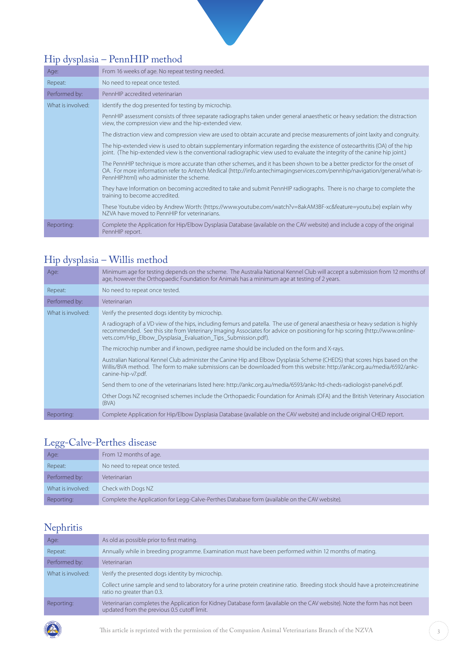# Hip dysplasia – PennHIP method

| Age:              | From 16 weeks of age. No repeat testing needed.                                                                                                                                                                                                                                                       |
|-------------------|-------------------------------------------------------------------------------------------------------------------------------------------------------------------------------------------------------------------------------------------------------------------------------------------------------|
| Repeat:           | No need to repeat once tested.                                                                                                                                                                                                                                                                        |
| Performed by:     | PennHIP accredited veterinarian                                                                                                                                                                                                                                                                       |
| What is involved: | Identify the dog presented for testing by microchip.                                                                                                                                                                                                                                                  |
|                   | PennHIP assessment consists of three separate radiographs taken under general anaesthetic or heavy sedation: the distraction<br>view, the compression view and the hip-extended view.                                                                                                                 |
|                   | The distraction view and compression view are used to obtain accurate and precise measurements of joint laxity and congruity.                                                                                                                                                                         |
|                   | The hip-extended view is used to obtain supplementary information regarding the existence of osteoarthritis (OA) of the hip<br>joint. (The hip-extended view is the conventional radiographic view used to evaluate the integrity of the canine hip joint.)                                           |
|                   | The PennHIP technique is more accurate than other schemes, and it has been shown to be a better predictor for the onset of<br>OA. For more information refer to Antech Medical (http://info.antechimagingservices.com/pennhip/navigation/general/what-is-<br>PennHIP.html) who administer the scheme. |
|                   | They have Information on becoming accredited to take and submit PennHIP radiographs. There is no charge to complete the<br>training to become accredited.                                                                                                                                             |
|                   | These Youtube video by Andrew Worth: (https://www.youtube.com/watch?v=8akAM3BF-xc&feature=youtu.be) explain why<br>NZVA have moved to PennHIP for veterinarians.                                                                                                                                      |
| Reporting:        | Complete the Application for Hip/Elbow Dysplasia Database (available on the CAV website) and include a copy of the original<br>PennHIP report.                                                                                                                                                        |

#### Hip dysplasia – Willis method

| Age:              | Minimum age for testing depends on the scheme. The Australia National Kennel Club will accept a submission from 12 months of<br>age, however the Orthopaedic Foundation for Animals has a minimum age at testing of 2 years.                                                                                                    |
|-------------------|---------------------------------------------------------------------------------------------------------------------------------------------------------------------------------------------------------------------------------------------------------------------------------------------------------------------------------|
| Repeat:           | No need to repeat once tested.                                                                                                                                                                                                                                                                                                  |
| Performed by:     | Veterinarian                                                                                                                                                                                                                                                                                                                    |
| What is involved: | Verify the presented dogs identity by microchip.                                                                                                                                                                                                                                                                                |
|                   | A radiograph of a VD view of the hips, including femurs and patella. The use of general anaesthesia or heavy sedation is highly<br>recommended. See this site from Veterinary Imaging Associates for advice on positioning for hip scoring (http://www.online-<br>vets.com/Hip_Elbow_Dysplasia_Evaluation_Tips_Submission.pdf). |
|                   | The microchip number and if known, pedigree name should be included on the form and X-rays.                                                                                                                                                                                                                                     |
|                   | Australian National Kennel Club administer the Canine Hip and Elbow Dysplasia Scheme (CHEDS) that scores hips based on the<br>Willis/BVA method. The form to make submissions can be downloaded from this website: http://ankc.org.au/media/6592/ankc-<br>canine-hip-v7.pdf.                                                    |
|                   | Send them to one of the veterinarians listed here: http://ankc.org.au/media/6593/ankc-ltd-cheds-radiologist-panely6.pdf.                                                                                                                                                                                                        |
|                   | Other Dogs NZ recognised schemes include the Orthopaedic Foundation for Animals (OFA) and the British Veterinary Association<br>(BVA)                                                                                                                                                                                           |
| Reporting:        | Complete Application for Hip/Elbow Dysplasia Database (available on the CAV website) and include original CHED report.                                                                                                                                                                                                          |

### Legg-Calve-Perthes disease

| __                |                                                                                               |
|-------------------|-----------------------------------------------------------------------------------------------|
| Age:              | From 12 months of age.                                                                        |
| Repeat:           | No need to repeat once tested.                                                                |
| Performed by:     | Veterinarian                                                                                  |
| What is involved: | Check with Dogs NZ                                                                            |
| Reporting:        | Complete the Application for Legg-Calve-Perthes Database form (available on the CAV website). |

# Nephritis

| Age:              | As old as possible prior to first mating.                                                                                                                                 |
|-------------------|---------------------------------------------------------------------------------------------------------------------------------------------------------------------------|
| Repeat:           | Annually while in breeding programme. Examination must have been performed within 12 months of mating.                                                                    |
| Performed by:     | Veterinarian                                                                                                                                                              |
| What is involved: | Verify the presented dogs identity by microchip.                                                                                                                          |
|                   | Collect urine sample and send to laboratory for a urine protein creatinine ratio. Breeding stock should have a protein:creatinine<br>ratio no greater than 0.3.           |
| Reporting:        | Veterinarian completes the Application for Kidney Database form (available on the CAV website). Note the form has not been<br>updated from the previous 0.5 cutoff limit. |